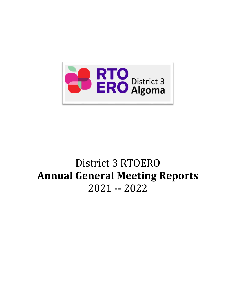

# District 3 RTOERO **Annual General Meeting Reports** 2021 -- 2022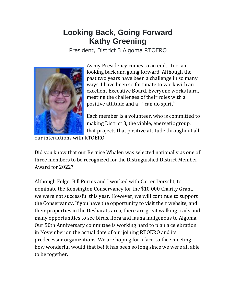# **Looking Back, Going Forward Kathy Greening**

President, District 3 Algoma RTOERO



As my Presidency comes to an end, I too, am looking back and going forward. Although the past two years have been a challenge in so many ways, I have been so fortunate to work with an excellent Executive Board. Everyone works hard, meeting the challenges of their roles with a positive attitude and a "can do spirit"

Each member is a volunteer, who is committed to making District 3, the viable, energetic group, that projects that positive attitude throughout all

our interactions with RTOERO.

Did you know that our Bernice Whalen was selected nationally as one of three members to be recognized for the Distinguished District Member Award for 2022?

Although Folgo, Bill Purnis and I worked with Carter Dorscht, to nominate the Kensington Conservancy for the \$10 000 Charity Grant, we were not successful this year. However, we will continue to support the Conservancy. If you have the opportunity to visit their website, and their properties in the Desbarats area, there are great walking trails and many opportunities to see birds, flora and fauna indigenous to Algoma. Our 50th Anniversary committee is working hard to plan a celebration in November on the actual date of our joining RTOERO and its predecessor organizations. We are hoping for a face-to-face meetinghow wonderful would that be! It has been so long since we were all able to be together.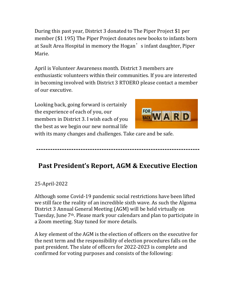During this past year, District 3 donated to The Piper Project \$1 per member (\$1 195) The Piper Project donates new books to infants born at Sault Area Hospital in memory the Hogan's infant daughter, Piper Marie.

April is Volunteer Awareness month. District 3 members are enthusiastic volunteers within their communities. If you are interested in becoming involved with District 3 RTOERO please contact a member of our executive.

Looking back, going forward is certainly the experience of each of you, our members in District 3. I wish each of you the best as we begin our new normal life



with its many changes and challenges. Take care and be safe.

**----------------------------------------------------------------------**

# **Past President's Report, AGM & Executive Election**

#### 25-April-2022

Although some Covid-19 pandemic social restrictions have been lifted we still face the reality of an incredible sixth wave. As such the Algoma District 3 Annual General Meeting (AGM) will be held virtually on Tuesday, June 7th. Please mark your calendars and plan to participate in a Zoom meeting. Stay tuned for more details.

A key element of the AGM is the election of officers on the executive for the next term and the responsibility of election procedures falls on the past president. The slate of officers for 2022-2023 is complete and confirmed for voting purposes and consists of the following: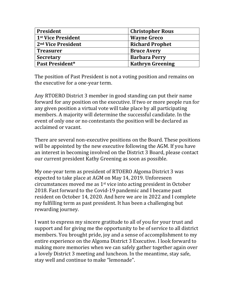| President                      | <b>Christopher Rous</b> |
|--------------------------------|-------------------------|
| 1st Vice President             | <b>Wayne Greco</b>      |
| 2 <sup>nd</sup> Vice President | <b>Richard Prophet</b>  |
| <b>Treasurer</b>               | <b>Bruce Avery</b>      |
| <b>Secretary</b>               | <b>Barbara Perry</b>    |
| Past President*                | <b>Kathryn Greening</b> |

The position of Past President is not a voting position and remains on the executive for a one-year term.

Any RTOERO District 3 member in good standing can put their name forward for any position on the executive. If two or more people run for any given position a virtual vote will take place by all participating members. A majority will determine the successful candidate. In the event of only one or no contestants the position will be declared as acclaimed or vacant.

There are several non-executive positions on the Board. These positions will be appointed by the new executive following the AGM. If you have an interest in becoming involved on the District 3 Board, please contact our current president Kathy Greening as soon as possible.

My one-year term as president of RTOERO Algoma District 3 was expected to take place at AGM on May 14, 2019. Unforeseen circumstances moved me as 1st vice into acting president in October 2018. Fast forward to the Covid-19 pandemic and I became past resident on October 14, 2020. And here we are in 2022 and I complete my fulfilling term as past president. It has been a challenging but rewarding journey.

I want to express my sincere gratitude to all of you for your trust and support and for giving me the opportunity to be of service to all district members. You brought pride, joy and a sense of accomplishment to my entire experience on the Algoma District 3 Executive. I look forward to making more memories when we can safely gather together again over a lovely District 3 meeting and luncheon. In the meantime, stay safe, stay well and continue to make "lemonade".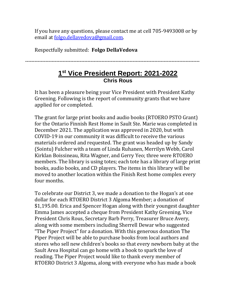If you have any questions, please contact me at cell 705-9493008 or by email at [folgo.dellavedova@gmail.com.](mailto:folgo.dellavedova@gmail.com)

Respectfully submitted: **Folgo DellaVedova**

**----------------------------------------------------------------------------------------------------------------**

### **1 st Vice President Report: 2021-2022 Chris Rous**

It has been a pleasure being your Vice President with President Kathy Greening. Following is the report of community grants that we have applied for or completed.

The grant for large print books and audio books (RTOERO PSTO Grant) for the Ontario Finnish Rest Home in Sault Ste. Marie was completed in December 2021. The application was approved in 2020, but with COVID-19 in our community it was difficult to receive the various materials ordered and requested. The grant was headed up by Sandy (Sointu) Fulcher with a team of Linda Ruhanen, Merrilyn Webb, Carol Kirklan Boissineau, Rita Wagner, and Gerry Yeo; three were RTOERO members. The library is using totes; each tote has a library of large print books, audio books, and CD players. The items in this library will be moved to another location within the Finish Rest home complex every four months.

To celebrate our District 3, we made a donation to the Hogan's at one dollar for each RTOERO District 3 Algoma Member; a donation of \$1,195.00. Erica and Spencer Hogan along with their youngest daughter Emma James accepted a cheque from President Kathy Greening, Vice President Chris Rous, Secretary Barb Perry, Treasurer Bruce Avery, along with some members including Sherrell Dewar who suggested "The Piper Project" for a donation. With this generous donation The Piper Project will be able to purchase books from local authors and stores who sell new children's books so that every newborn baby at the Sault Area Hospital can go home with a book to spark the love of reading. The Piper Project would like to thank every member of RTOERO District 3 Algoma, along with everyone who has made a book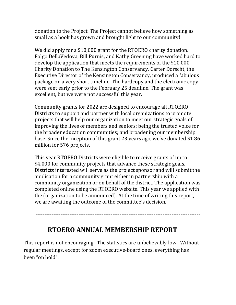donation to the Project. The Project cannot believe how something as small as a book has grown and brought light to our community!

We did apply for a \$10,000 grant for the RTOERO charity donation. Folgo DellaVedova, Bill Purnis, and Kathy Greening have worked hard to develop the application that meets the requirements of the \$10,000 Charity Donation to The Kensington Conservancy. Carter Dorscht, the Executive Director of the Kensington Conservancy, produced a fabulous package on a very short timeline. The hardcopy and the electronic copy were sent early prior to the February 25 deadline. The grant was excellent, but we were not successful this year.

Community grants for 2022 are designed to encourage all RTOERO Districts to support and partner with local organizations to promote projects that will help our organization to meet our strategic goals of improving the lives of members and seniors; being the trusted voice for the broader education communities; and broadening our membership base. Since the inception of this grant 23 years ago, we've donated \$1.86 million for 576 projects.

This year RTOERO Districts were eligible to receive grants of up to \$4,000 for community projects that advance these strategic goals. Districts interested will serve as the project sponsor and will submit the application for a community grant either in partnership with a community organization or on behalf of the district. The application was completed online using the RTOERO website. This year we applied with the (organization to be announced). At the time of writing this report, we are awaiting the outcome of the committee's decision.

--------------------------------------------------------------------------------------------

**RTOERO ANNUAL MEMBERSHIP REPORT**

This report is not encouraging. The statistics are unbelievably low. Without regular meetings, except for zoom executive-board ones, everything has been "on hold".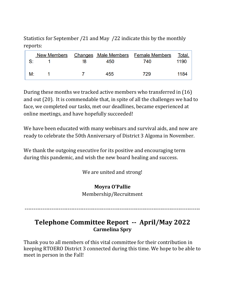Statistics for September /21 and May /22 indicate this by the monthly reports:

|    |    |     | <u>New Members Changes Male Members Female Members</u> | <u>Total.</u> |
|----|----|-----|--------------------------------------------------------|---------------|
| S: | 18 | 450 | 740                                                    | 1190          |
|    |    |     |                                                        |               |
| M: |    | 455 | 729                                                    | 1184          |

During these months we tracked active members who transferred in (16) and out (20). It is commendable that, in spite of all the challenges we had to face, we completed our tasks, met our deadlines, became experienced at online meetings, and have hopefully succeeded!

We have been educated with many webinars and survival aids, and now are ready to celebrate the 50th Anniversary of District 3 Algoma in November.

We thank the outgoing executive for its positive and encouraging term during this pandemic, and wish the new board healing and success.

We are united and strong!

#### **Moyra O'Pallie**

Membership/Recruitment

--------------------------------------------------------------------------------------------------

# **Telephone Committee Report -- April/May 2022 Carmelina Spry**

Thank you to all members of this vital committee for their contribution in keeping RTOERO District 3 connected during this time. We hope to be able to meet in person in the Fall!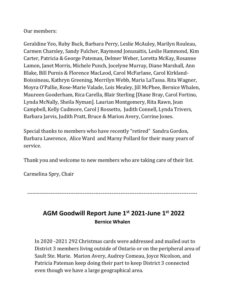#### Our members:

Geraldine Yeo, Ruby Buck, Barbara Perry, Leslie McAuley, Marilyn Rouleau, Carmen Charsley, Sandy Fulcher, Raymond Jonusaitis, Leslie Hammond, Kim Carter, Patricia & George Pateman, Delmer Weber, Loretta McKay, Rosanne Lamon, Janet Morris, Michele Punch, Jocelyne Murray, Diane Marshall, Ann Blake, Bill Purnis & Florence MacLeod, Carol McFarlane, Carol Kirkland-Boissineau, Kathryn Greening, Merrilyn Webb, Maria LaTassa. Rita Wagner, Moyra O'Pallie, Rose-Marie Valade, Lois Mealey, Jill McPhee, Bernice Whalen, Maureen Gooderham, Rica Carella, Blair Sterling [Diane Bray, Carol Fortino, Lynda McNally, Sheila Nyman]. Laurian Montgomery, Rita Rawn, Jean Campbell, Kelly Cudmore, Carol J Rossetto, Judith Connell, Lynda Trivers, Barbara Jarvis, Judith Pratt, Bruce & Marion Avery, Corrine Jones.

Special thanks to members who have recently "retired" Sandra Gordon, Barbara Lawrence, Alice Ward and Marny Pollard for their many years of service.

Thank you and welcome to new members who are taking care of their list.

Carmelina Spry, Chair

-----------------------------------------------------------------------------------------------

# **AGM Goodwill Report June 1st 2021-June 1st 2022 Bernice Whalen**

In 2020 -2021 292 Christmas cards were addressed and mailed out to District 3 members living outside of Ontario or on the peripheral area of Sault Ste. Marie. Marion Avery, Audrey Comeau, Joyce Nicolson, and Patricia Pateman keep doing their part to keep District 3 connected even though we have a large geographical area.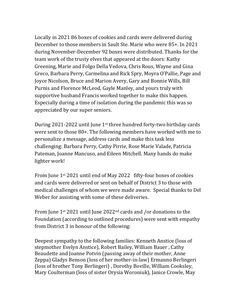Locally in 2021 86 boxes of cookies and cards were delivered during December to those members in Sault Ste. Marie who were 85+. In 2021 during November-December 92 boxes were distributed. Thanks for the team work of the trusty elves that appeared at the doors: Kathy Greening, Marie and Folgo Della Vedova, Chris Rous, Wayne and Gina Greco, Barbara Perry, Carmelina and Rick Spry, Moyra O'Pallie, Page and Joyce Nicolson, Bruce and Marion Avery, Gary and Bonnie Wills, Bill Purnis and Florence McLeod, Gayle Manley, and yours truly with supportive husband Francis worked together to make this happen. Especially during a time of isolation during the pandemic this was so appreciated by our super seniors.

During 2021-2022 until June  $1<sup>st</sup>$  three hundred forty-two birthday cards were sent to those 80+. The following members have worked with me to personalize a message, address cards and make this task less challenging: Barbara Perry, Cathy Pirrie, Rose Marie Valade, Patricia Pateman, Joanne Mancuso, and Eileen Mitchell. Many hands do make lighter work!

From June 1st 2021 until end of May 2022 fifty-four boxes of cookies and cards were delivered or sent on behalf of District 3 to those with medical challenges of whom we were made aware. Special thanks to Del Weber for assisting with some of these deliveries.

From June 1st 2021 until June 2022nd cards and /or donations to the Foundation (according to outlined procedures) were sent with empathy from District 3 in honour of the following:

Deepest sympathy to the following families: Kenneth Anstice (loss of stepmother Evelyn Anstice), Robert Bailey, William Bauer , Cathy Beaudette and Joanne Potvin (passing away of their mother, Anne Zeppa) Gladys Benson (loss of her mother-in-law) Ermanno Berlingeri (loss of brother Tony Berlingeri) , Dorothy Boville, William Cooksley, Mary Coulterman (loss of sister Orysia Woroniuk), Janice Crowle, May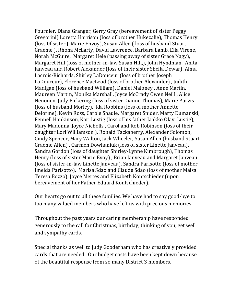Fournier, Diana Granger, Gerry Gray (bereavement of sister Peggy Gregorini) Loretta Harrison (loss of brother Hukezalie), Thomas Henry (loss 0f sister J. Marie Envoy), Susan Allen ( loss of husband Stuart Graeme ), Rhona McLarty, David Lawrence, Barbara Lamb, Eila Virene, Norah McGuire, Margaret Hele (passing away of sister Grace Nagy), Margaret Hill (loss of mother-in-law Susan Hill,), John Hyndman, Anita Janveau and Robert Alexander (loss of their sister Sheila Dewar), Alma Lacrois-Richards, Shirley LaDouceur (loss of brother Joseph LaDouceur), Florence MacLeod (loss of brother Alexander) , Judith Madigan (loss of husband William), Daniel Maloney , Anne Martin, Maureen Martin, Monika Marshall, Joyce McCrady Owen Neill , Alice Nenonen, Judy Pickering (loss of sister Dianne Thomas), Marie Purvis (loss of husband Morley), Ida Robbins (loss of mother Annette Delorme), Kevin Ross, Carole Shaule, Margaret Snider, Marty Dumanski, Fennell Hankinson, Kari Lustig (loss of his father Jaakko Olavi Lustig), Mary Madonna ,Joyce Nicholls , Carol and Rob Robinson (loss of their daughter Lori Williamson ), Ronald Tackaberry, Alexander Solomon, Cindy Spencer, Mary Walton, Jack Wheeler, Susan Allen (husband Stuart Graeme Allen) , Carmen Dowhaniuk (loss of sister Linette Janveau), Sandra Gordon (loss of daughter Shirley-Lynne Kimbrough), Thomas Henry (loss of sister Marie Evoy) , Brian Janveau and Margaret Janveau (loss of sister-in-law Linette Janveau), Sandra Parisotto (loss of mother Imelda Parisotto), Marisa Sdao and Claude Sdao (loss of mother Maisa Teresa Bozzo), Joyce Mertes and Elizabeth Kontschieder (upon bereavement of her Father Eduard Kontschieder).

Our hearts go out to all these families. We have had to say good-bye to too many valued members who have left us with precious memories.

Throughout the past years our caring membership have responded generously to the call for Christmas, birthday, thinking of you, get well and sympathy cards.

Special thanks as well to Judy Gooderham who has creatively provided cards that are needed. Our budget costs have been kept down because of the beautiful response from so many District 3 members.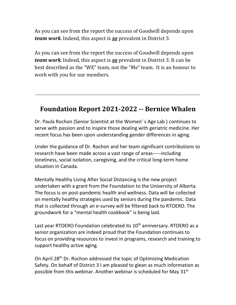As you can see from the report the success of Goodwill depends upon *team work*. Indeed, this aspect is *so* prevalent in District 3.

As you can see from the report the success of Goodwill depends upon *team work*. Indeed, this aspect is *so* prevalent in District 3. It can be best described as the "WE" team, not the "Me" team. It is an honour to work with you for our members.

---------------------------------------------------------------------------------------------------------------------

# **Foundation Report 2021-2022 -- Bernice Whalen**

Dr. Paula Rochon (Senior Scientist at the Women' s Age Lab ) continues to serve with passion and to inspire those dealing with geriatric medicine. Her recent focus has been upon understanding gender differences in aging.

Under the guidance of Dr. Rochon and her team significant contributions to research have been made across a vast range of areas-----including loneliness, social isolation, caregiving, and the critical long-term home situation in Canada.

Mentally Healthy Living After Social Distancing is the new project undertaken with a grant from the Foundation to the University of Alberta. The focus is on post-pandemic health and wellness. Data will be collected on mentally healthy strategies used by seniors during the pandemic. Data that is collected through an e-survey will be filtered back to RTOERO. The groundwork for a "mental health cookbook" is being laid.

Last year RTOERO Foundation celebrated its 10<sup>th</sup> anniversary. RTOERO as a senior organization are indeed proud that the Foundation continues to focus on providing resources to invest in programs, research and training to support healthy active aging.

On April 28<sup>th</sup> Dr. Rochon addressed the topic of Optimizing Medication Safety. On behalf of District 3 I am pleased to glean as much information as possible from this webinar. Another webinar is scheduled for May  $31<sup>st</sup>$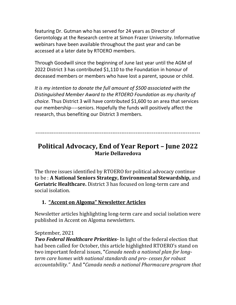featuring Dr. Gutman who has served for 24 years as Director of Gerontology at the Research centre at Simon Frazer University. Informative webinars have been available throughout the past year and can be accessed at a later date by RTOERO members.

Through Goodwill since the beginning of June last year until the AGM of 2022 District 3 has contributed \$1,110 to the Foundation in honour of deceased members or members who have lost a parent, spouse or child.

*It is my intention to donate the full amount of \$500 associated with the Distinguished Member Award to the RTOERO Foundation as my charity of choice.* Thus District 3 will have contributed \$1,600 to an area that services our membership----seniors. Hopefully the funds will positively affect the research, thus benefiting our District 3 members.

--------------------------------------------------------------------------------------------

# **Political Advocacy, End of Year Report – June 2022 Marie Dellavedova**

The three issues identified by RTOERO for political advocacy continue to be : **A National Seniors Strategy, Environmental Stewardship,** and **Geriatric Healthcare.** District 3 has focused on long-term care and social isolation.

#### **1. "Accent on Algoma" Newsletter Articles**

Newsletter articles highlighting long-term care and social isolation were published in Accent on Algoma newsletters.

#### September, 2021

*Two Federal Healthcare Priorities-* In light of the federal election that had been called for October, this article highlighted RTOERO's stand on two important federal issues, **"***Canada needs a national plan for longterm care homes with national standards and pro- cesses for robust accountability."*And **"***Canada needs a national Pharmacare program that*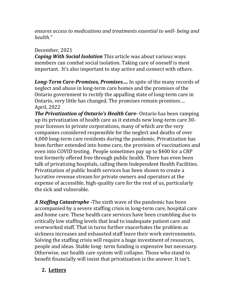*ensures access to medications and treatments essential to well- being and health."*

#### December, 2021

*Coping With Social Isolation* This article was about various ways members can combat social isolation. Taking care of oneself is most important. It's also important to stay active and connect with others.

*Long-Term Care-Promises, Promises….* In spite of the many records of neglect and abuse in long-term care homes and the promises of the Ontario government to rectify the appalling state of long-term care in Ontario, very little has changed. The promises remain promises…. April, 2022

*The Privatization of Ontario's Health Care*- Ontario has been ramping up its privatization of health care as it extends new long-term care 30 year licenses to private corporations, many of which are the very companies considered responsible for the neglect and deaths of over 4,000 long-term care residents during the pandemic. Privatization has been further extended into home care, the provision of vaccinations and even into COVID testing. People sometimes pay up to \$400 for a CRP test formerly offered free through public health. There has even been talk of privatizing hospitals, calling them Independent Health Facilities. Privatization of public health services has been shown to create a lucrative revenue stream for private owners and operators at the expense of accessible, high-quality care for the rest of us, particularly the sick and vulnerable.

*A Staffing Catastrophe -*The sixth wave of the pandemic has been accompanied by a severe staffing crisis in long-term care, hospital care and home care. These health care services have been crumbling due to critically low staffing levels that lead to inadequate patient care and overworked staff. That in turns further exacerbates the problem as sickness increases and exhausted staff leave their work environments. Solving the staffing crisis will require a huge investment of resources, people and ideas. Stable long- term funding is expensive but necessary. Otherwise, our health care system will collapse. Those who stand to benefit financially will insist that privatization is the answer. It isn't.

#### **2. Letters**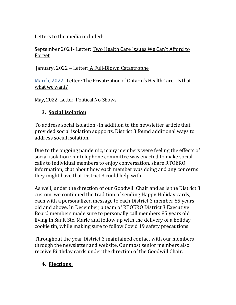Letters to the media included:

#### September 2021- Letter: Two Health Care Issues We Can't Afford to Forget

January, 2022 - Letter: A Full-Blown Catastrophe

March, 2022- Letter : The Privatization of Ontario's Health Care - Is that what we want?

May, 2022- Letter: Political No-Shows

#### **3. Social Isolation**

To address social isolation -In addition to the newsletter article that provided social isolation supports, District 3 found additional ways to address social isolation.

Due to the ongoing pandemic, many members were feeling the effects of social isolation Our telephone committee was enacted to make social calls to individual members to enjoy conversation, share RTOERO information, chat about how each member was doing and any concerns they might have that District 3 could help with.

As well, under the direction of our Goodwill Chair and as is the District 3 custom, we continued the tradition of sending Happy Holiday cards, each with a personalized message to each District 3 member 85 years old and above. In December, a team of RTOERO District 3 Executive Board members made sure to personally call members 85 years old living in Sault Ste. Marie and follow up with the delivery of a holiday cookie tin, while making sure to follow Covid 19 safety precautions.

Throughout the year District 3 maintained contact with our members through the newsletter and website. Our most senior members also receive Birthday cards under the direction of the Goodwill Chair.

#### **4. Elections:**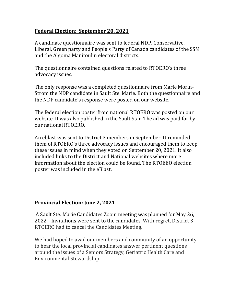#### **Federal Election: September 20, 2021**

A candidate questionnaire was sent to federal NDP, Conservative, Liberal, Green party and People's Party of Canada candidates of the SSM and the Algoma Manitoulin electoral districts.

The questionnaire contained questions related to RTOERO's three advocacy issues.

The only response was a completed questionnaire from Marie Morin-Strom the NDP candidate in Sault Ste. Marie. Both the questionnaire and the NDP candidate's response were posted on our website.

The federal election poster from national RTOERO was posted on our website. It was also published in the Sault Star. The ad was paid for by our national RTOERO.

An eblast was sent to District 3 members in September. It reminded them of RTOERO's three advocacy issues and encouraged them to keep these issues in mind when they voted on September 20, 2021. It also included links to the District and National websites where more information about the election could be found. The RTOEEO election poster was included in the eBlast.

#### **Provincial Election: June 2, 2021**

A Sault Ste. Marie Candidates Zoom meeting was planned for May 26, 2022. Invitations were sent to the candidates. With regret, District 3 RTOERO had to cancel the Candidates Meeting.

We had hoped to avail our members and community of an opportunity to hear the local provincial candidates answer pertinent questions around the issues of a Seniors Strategy, Geriatric Health Care and Environmental Stewardship.